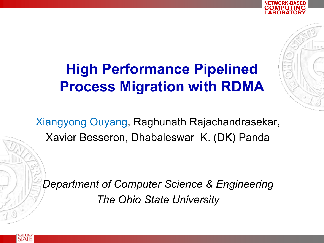

Xiangyong Ouyang, Raghunath Rajachandrasekar, Xavier Besseron, Dhabaleswar K. (DK) Panda

*Department of Computer Science & Engineering The Ohio State University*

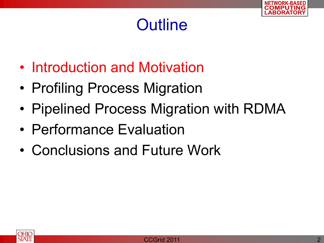

#### **Outline**

- Introduction and Motivation
- Profiling Process Migration
- Pipelined Process Migration with RDMA
- Performance Evaluation
- Conclusions and Future Work

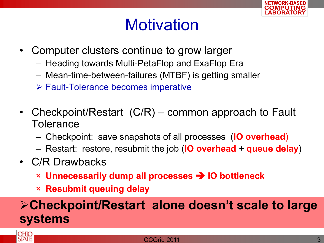

#### **Motivation**

- Computer clusters continue to grow larger
	- Heading towards Multi-PetaFlop and ExaFlop Era
	- Mean-time-between-failures (MTBF) is getting smaller
	- Fault-Tolerance becomes imperative
- Checkpoint/Restart (C/R) common approach to Fault **Tolerance** 
	- Checkpoint: save snapshots of all processes (**IO overhead**)
	- Restart: restore, resubmit the job (**IO overhead** + **queue delay**)
- C/R Drawbacks
	- × **Unnecessarily dump all processes IO bottleneck**
	- × **Resubmit queuing delay**

#### **Checkpoint/Restart alone doesn't scale to large systems**

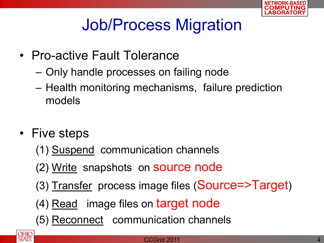

## Job/Process Migration

- Pro-active Fault Tolerance
	- Only handle processes on failing node
	- Health monitoring mechanisms, failure prediction models
- Five steps
	- (1) Suspend communication channels
	- (2) Write snapshots on source node
	- (3) Transfer process image files (Source=>Target)
	- (4) Read image files on target node
	- (5) Reconnect communication channels

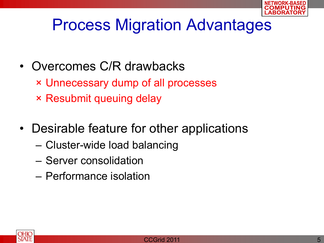

#### Process Migration Advantages

- Overcomes C/R drawbacks
	- × Unnecessary dump of all processes
	- × Resubmit queuing delay
- Desirable feature for other applications
	- Cluster-wide load balancing
	- Server consolidation
	- Performance isolation

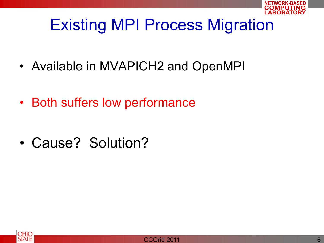

## Existing MPI Process Migration

- Available in MVAPICH2 and OpenMPI
- Both suffers low performance
- Cause? Solution?



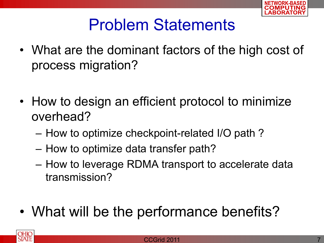

#### Problem Statements

- What are the dominant factors of the high cost of process migration?
- How to design an efficient protocol to minimize overhead?
	- How to optimize checkpoint-related I/O path ?
	- How to optimize data transfer path?
	- How to leverage RDMA transport to accelerate data transmission?
- What will be the performance benefits?

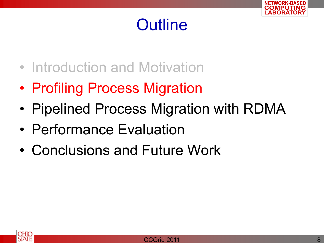

#### **Outline**

- Introduction and Motivation
- Profiling Process Migration
- Pipelined Process Migration with RDMA
- Performance Evaluation
- Conclusions and Future Work

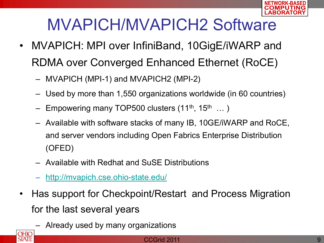

## MVAPICH/MVAPICH2 Software

- MVAPICH: MPI over InfiniBand, 10GigE/iWARP and RDMA over Converged Enhanced Ethernet (RoCE)
	- MVAPICH (MPI-1) and MVAPICH2 (MPI-2)
	- Used by more than 1,550 organizations worldwide (in 60 countries)
	- $-$  Empowering many TOP500 clusters (11<sup>th</sup>, 15<sup>th</sup> ...)
	- Available with software stacks of many IB, 10GE/iWARP and RoCE, and server vendors including Open Fabrics Enterprise Distribution (OFED)
	- Available with Redhat and SuSE Distributions
	- <http://mvapich.cse.ohio-state.edu/>
- Has support for Checkpoint/Restart and Process Migration for the last several years
	- Already used by many organizations

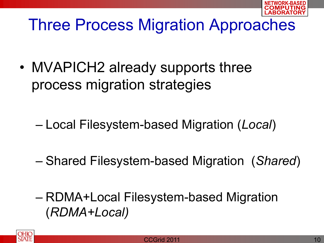

## Three Process Migration Approaches

- MVAPICH2 already supports three process migration strategies
	- Local Filesystem-based Migration (*Local*)
	- Shared Filesystem-based Migration (*Shared*)
	- RDMA+Local Filesystem-based Migration (*RDMA+Local)*

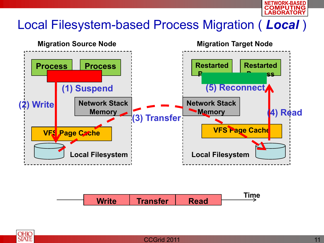

#### Local Filesystem-based Process Migration ( *Local* )



**Time Write | Transfer | Read** 

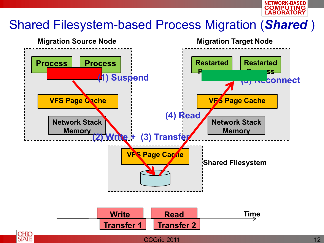

#### Shared Filesystem-based Process Migration (*Shared* )





**Transfer 2**

**Transfer 1**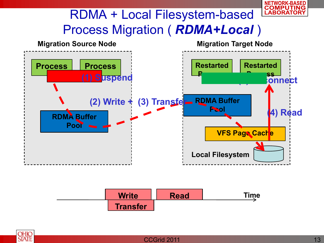

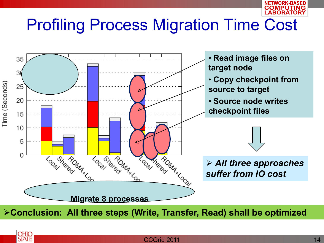

## Profiling Process Migration Time Cost



**Conclusion: All three steps (Write, Transfer, Read) shall be optimized** 

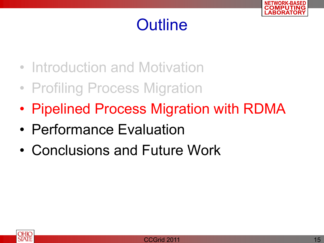

#### **Outline**

- Introduction and Motivation
- Profiling Process Migration
- Pipelined Process Migration with RDMA
- Performance Evaluation
- Conclusions and Future Work

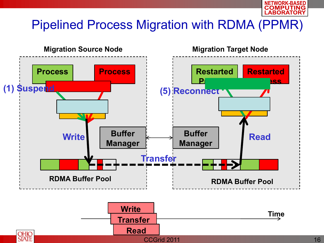

#### Pipelined Process Migration with RDMA (PPMR)

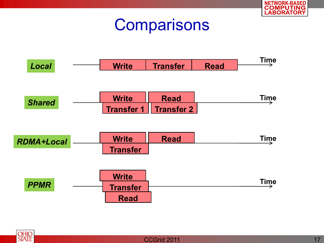

#### **Comparisons**



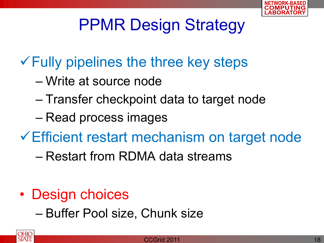

## PPMR Design Strategy

#### $\checkmark$  Fully pipelines the three key steps

- Write at source node
- Transfer checkpoint data to target node
- Read process images

Efficient restart mechanism on target node

– Restart from RDMA data streams

- Design choices
	- Buffer Pool size, Chunk size

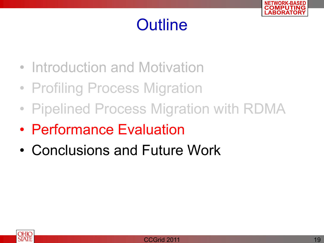

#### **Outline**

- Introduction and Motivation
- Profiling Process Migration
- Pipelined Process Migration with RDMA
- Performance Evaluation
- Conclusions and Future Work

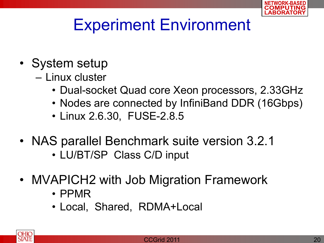

### Experiment Environment

- System setup
	- Linux cluster
		- Dual-socket Quad core Xeon processors, 2.33GHz
		- Nodes are connected by InfiniBand DDR (16Gbps)
		- Linux 2.6.30, FUSE-2.8.5
- NAS parallel Benchmark suite version 3.2.1
	- LU/BT/SP Class C/D input
- MVAPICH2 with Job Migration Framework
	- PPMR
	- Local, Shared, RDMA+Local

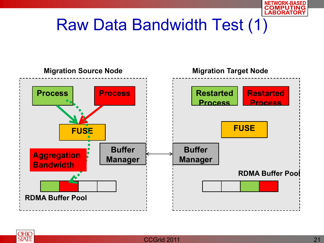

### Raw Data Bandwidth Test (1)



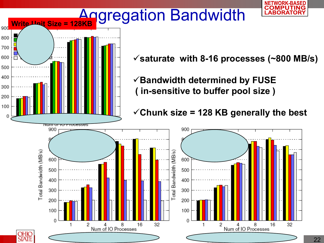

0

2

4<br>Num of IO Processes

16

32



0

8<br>Num of IO Processes

16

32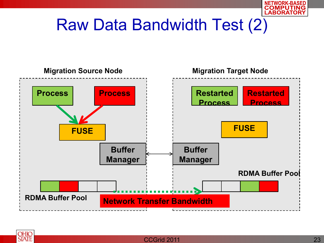

## Raw Data Bandwidth Test (2)



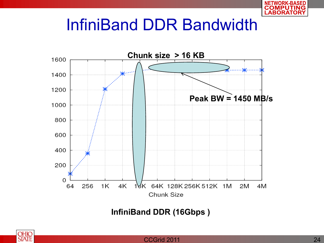

#### InfiniBand DDR Bandwidth



**InfiniBand DDR (16Gbps )**



#### CCGrid 2011 **24**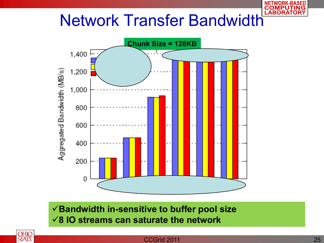## Network Transfer Bandwidth



**Bandwidth in-sensitive to buffer pool size 8 IO streams can saturate the network**



#### **CCGrid 2011** 25

**NETWORK-BASED**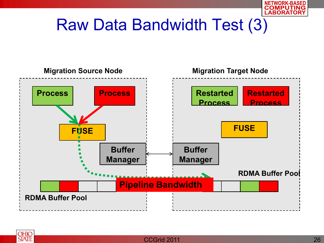

### Raw Data Bandwidth Test (3)



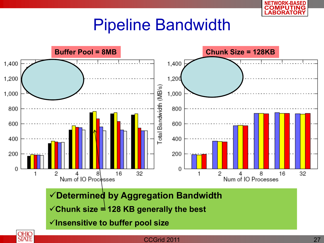

#### Pipeline Bandwidth



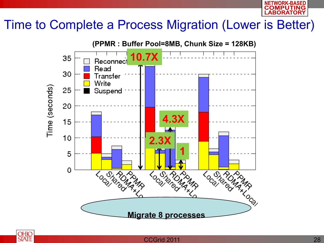

#### Time to Complete a Process Migration (Lower is Better)



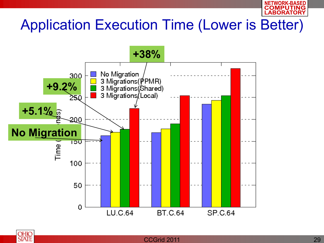

#### Application Execution Time (Lower is Better)



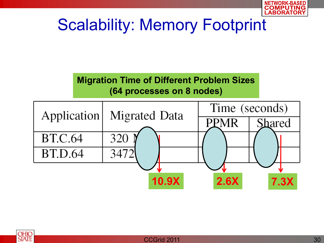

## Scalability: Memory Footprint

**Migration Time of Different Problem Sizes (64 processes on 8 nodes)**



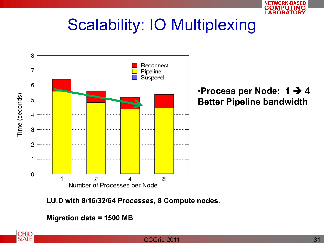

#### Scalability: IO Multiplexing



•**Process per Node: 1 4 Better Pipeline bandwidth**

**LU.D with 8/16/32/64 Processes, 8 Compute nodes.** 

**Migration data = 1500 MB**

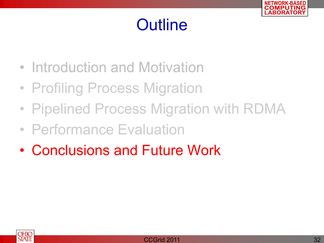

#### **Outline**

- Introduction and Motivation
- Profiling Process Migration
- Pipelined Process Migration with RDMA
- Performance Evaluation
- Conclusions and Future Work

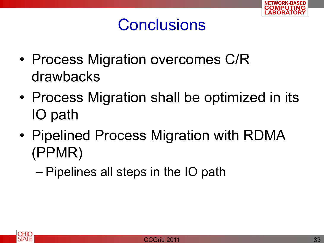

#### **Conclusions**

- Process Migration overcomes C/R drawbacks
- Process Migration shall be optimized in its IO path
- Pipelined Process Migration with RDMA (PPMR)
	- Pipelines all steps in the IO path

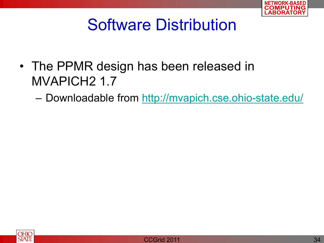

#### Software Distribution

- The PPMR design has been released in MVAPICH2 1.7
	- Downloadable from<http://mvapich.cse.ohio-state.edu/>

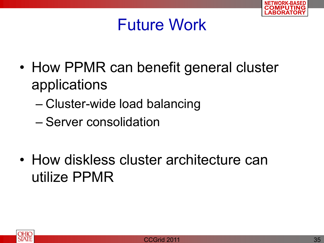

#### Future Work

- How PPMR can benefit general cluster applications
	- Cluster-wide load balancing
	- Server consolidation
- How diskless cluster architecture can utilize PPMR